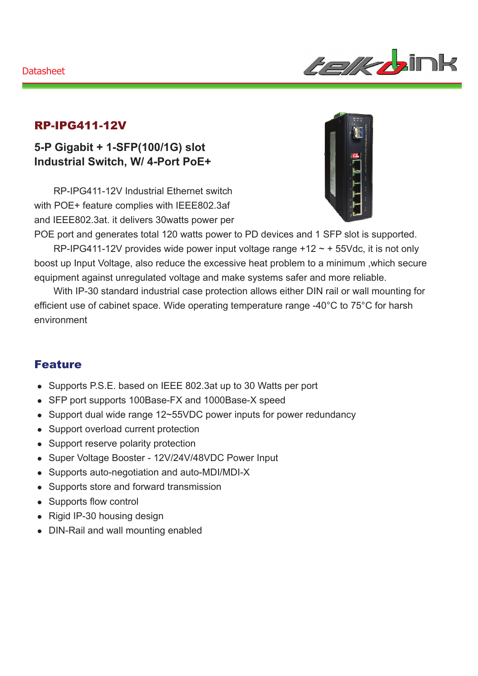

### RP-IPG411-12V

## **5-P Gigabit + 1-SFP(100/1G) slot Industrial Switch, W/ 4-Port PoE+**

RP-IPG411-12V Industrial Ethernet switch with POE+ feature complies with IEEE802.3af and IEEE802.3at. it delivers 30watts power per



POE port and generates total 120 watts power to PD devices and 1 SFP slot is supported. RP-IPG411-12V provides wide power input voltage range  $+12 \sim +55$ Vdc, it is not only

boost up Input Voltage, also reduce the excessive heat problem to a minimum ,which secure equipment against unregulated voltage and make systems safer and more reliable.

With IP-30 standard industrial case protection allows either DIN rail or wall mounting for efficient use of cabinet space. Wide operating temperature range -40°C to 75°C for harsh environment

### Feature

- Supports P.S.E. based on IEEE 802.3at up to 30 Watts per port
- SFP port supports 100Base-FX and 1000Base-X speed
- Support dual wide range 12~55VDC power inputs for power redundancy
- Support overload current protection
- Support reserve polarity protection
- Super Voltage Booster 12V/24V/48VDC Power Input
- Supports auto-negotiation and auto-MDI/MDI-X
- Supports store and forward transmission
- Supports flow control
- $\bullet$  Rigid IP-30 housing design
- DIN-Rail and wall mounting enabled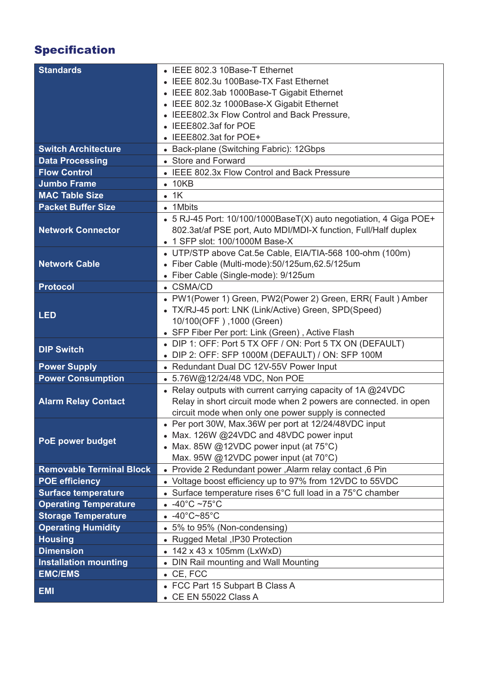# Specification

| <b>Standards</b>                | • IEEE 802.3 10Base-T Ethernet                                    |
|---------------------------------|-------------------------------------------------------------------|
|                                 | • IEEE 802.3u 100Base-TX Fast Ethernet                            |
|                                 | • IEEE 802.3ab 1000Base-T Gigabit Ethernet                        |
|                                 | • IEEE 802.3z 1000Base-X Gigabit Ethernet                         |
|                                 | • IEEE802.3x Flow Control and Back Pressure,                      |
|                                 | IEEE802.3af for POE                                               |
|                                 | • IEEE802.3at for POE+                                            |
| <b>Switch Architecture</b>      | • Back-plane (Switching Fabric): 12Gbps                           |
| <b>Data Processing</b>          | • Store and Forward                                               |
| <b>Flow Control</b>             | • IEEE 802.3x Flow Control and Back Pressure                      |
| <b>Jumbo Frame</b>              | $\bullet$ 10KB                                                    |
| <b>MAC Table Size</b>           | $-1K$                                                             |
| <b>Packet Buffer Size</b>       | • 1Mbits                                                          |
|                                 | • 5 RJ-45 Port: 10/100/1000BaseT(X) auto negotiation, 4 Giga POE+ |
| <b>Network Connector</b>        | 802.3at/af PSE port, Auto MDI/MDI-X function, Full/Half duplex    |
|                                 | 1 SFP slot: 100/1000M Base-X                                      |
|                                 | • UTP/STP above Cat.5e Cable, EIA/TIA-568 100-ohm (100m)          |
| <b>Network Cable</b>            | · Fiber Cable (Multi-mode):50/125um,62.5/125um                    |
|                                 | • Fiber Cable (Single-mode): 9/125um                              |
| <b>Protocol</b>                 | • CSMA/CD                                                         |
|                                 | • PW1(Power 1) Green, PW2(Power 2) Green, ERR( Fault) Amber       |
|                                 | • TX/RJ-45 port: LNK (Link/Active) Green, SPD(Speed)              |
| <b>LED</b>                      | 10/100(OFF), 1000 (Green)                                         |
|                                 | • SFP Fiber Per port: Link (Green), Active Flash                  |
|                                 | • DIP 1: OFF: Port 5 TX OFF / ON: Port 5 TX ON (DEFAULT)          |
| <b>DIP Switch</b>               | • DIP 2: OFF: SFP 1000M (DEFAULT) / ON: SFP 100M                  |
| <b>Power Supply</b>             | • Redundant Dual DC 12V-55V Power Input                           |
| <b>Power Consumption</b>        | • 5.76W@12/24/48 VDC, Non POE                                     |
|                                 | • Relay outputs with current carrying capacity of 1A @24VDC       |
| <b>Alarm Relay Contact</b>      | Relay in short circuit mode when 2 powers are connected. in open  |
|                                 | circuit mode when only one power supply is connected              |
|                                 | • Per port 30W, Max.36W per port at 12/24/48VDC input             |
| <b>PoE power budget</b>         | • Max. 126W @24VDC and 48VDC power input                          |
|                                 | • Max. 85W @12VDC power input (at $75^{\circ}$ C)                 |
|                                 | Max. 95W @12VDC power input (at 70°C)                             |
| <b>Removable Terminal Block</b> | . Provide 2 Redundant power, Alarm relay contact, 6 Pin           |
| <b>POE efficiency</b>           | • Voltage boost efficiency up to 97% from 12VDC to 55VDC          |
| <b>Surface temperature</b>      | • Surface temperature rises 6°C full load in a 75°C chamber       |
| <b>Operating Temperature</b>    | $-40^{\circ}$ C ~75 $^{\circ}$ C                                  |
| <b>Storage Temperature</b>      | $-40^{\circ}$ C~85 $^{\circ}$ C                                   |
| <b>Operating Humidity</b>       | • 5% to 95% (Non-condensing)                                      |
| <b>Housing</b>                  | • Rugged Metal , IP30 Protection                                  |
| <b>Dimension</b>                | • 142 x 43 x 105mm (LxWxD)                                        |
| <b>Installation mounting</b>    | • DIN Rail mounting and Wall Mounting                             |
| <b>EMC/EMS</b>                  | $\bullet$ CE, FCC                                                 |
| <b>EMI</b>                      | • FCC Part 15 Subpart B Class A                                   |
|                                 | • CE EN 55022 Class A                                             |